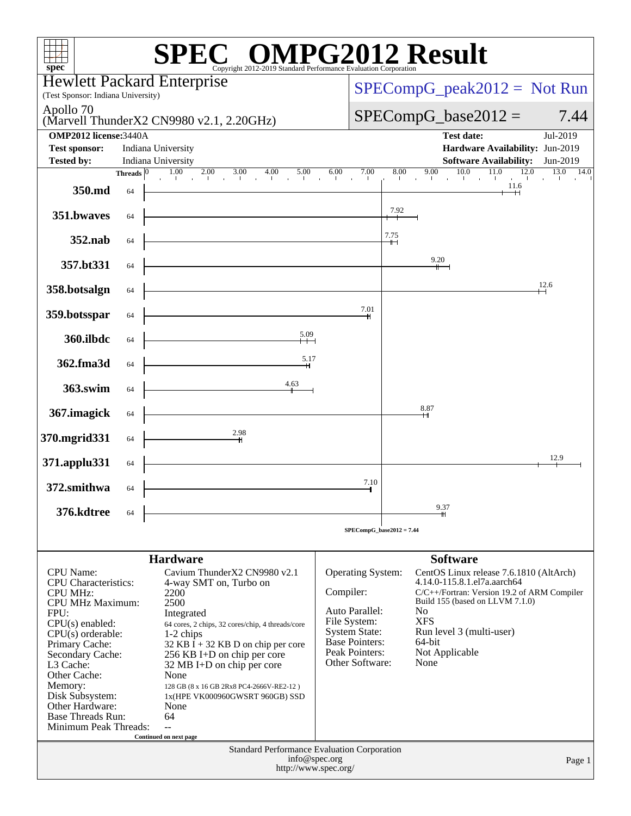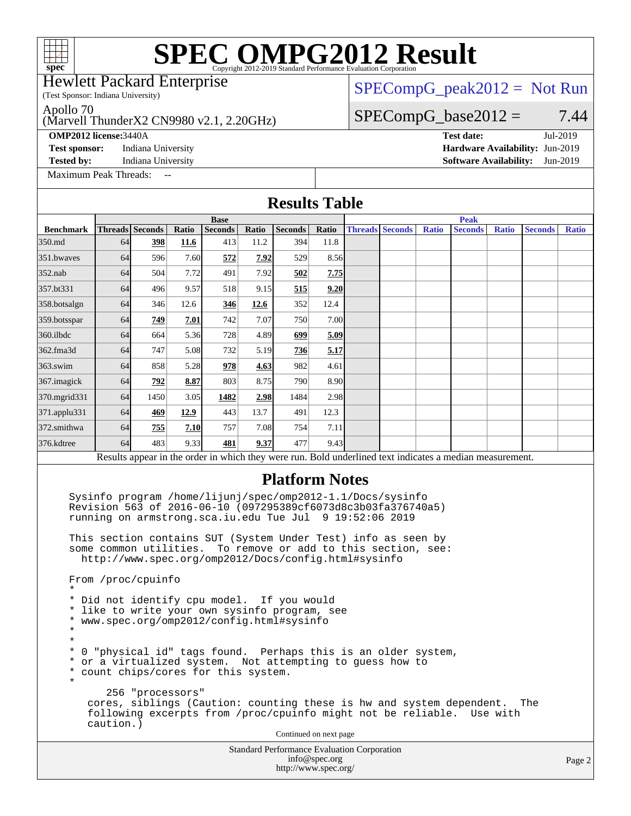(Test Sponsor: Indiana University) Hewlett Packard Enterprise

### $SPECompG_peak2012 = Not Run$  $SPECompG_peak2012 = Not Run$

 $SPECompG_base2012 = 7.44$  $SPECompG_base2012 = 7.44$ 

Apollo 70

(Marvell ThunderX2 CN9980 v2.1, 2.20GHz)

**[Test sponsor:](http://www.spec.org/auto/omp2012/Docs/result-fields.html#Testsponsor)** Indiana University **[Hardware Availability:](http://www.spec.org/auto/omp2012/Docs/result-fields.html#HardwareAvailability)** Jun-2019

**[Tested by:](http://www.spec.org/auto/omp2012/Docs/result-fields.html#Testedby)** Indiana University **[Software Availability:](http://www.spec.org/auto/omp2012/Docs/result-fields.html#SoftwareAvailability)** Jun-2019

[Maximum Peak Threads:](http://www.spec.org/auto/omp2012/Docs/result-fields.html#MaximumPeakThreads)

**[OMP2012 license:](http://www.spec.org/auto/omp2012/Docs/result-fields.html#OMP2012license)**3440A **[Test date:](http://www.spec.org/auto/omp2012/Docs/result-fields.html#Testdate)** Jul-2019

Standard Performance Evaluation Corporation [info@spec.org](mailto:info@spec.org) Page 2 **[Results Table](http://www.spec.org/auto/omp2012/Docs/result-fields.html#ResultsTable) [Benchmark](http://www.spec.org/auto/omp2012/Docs/result-fields.html#Benchmark) [Threads](http://www.spec.org/auto/omp2012/Docs/result-fields.html#Threads) [Seconds](http://www.spec.org/auto/omp2012/Docs/result-fields.html#Seconds) [Ratio](http://www.spec.org/auto/omp2012/Docs/result-fields.html#Ratio) [Seconds](http://www.spec.org/auto/omp2012/Docs/result-fields.html#Seconds) [Ratio](http://www.spec.org/auto/omp2012/Docs/result-fields.html#Ratio) [Seconds](http://www.spec.org/auto/omp2012/Docs/result-fields.html#Seconds) [Ratio](http://www.spec.org/auto/omp2012/Docs/result-fields.html#Ratio) Base [Threads](http://www.spec.org/auto/omp2012/Docs/result-fields.html#Threads) [Seconds](http://www.spec.org/auto/omp2012/Docs/result-fields.html#Seconds) [Ratio](http://www.spec.org/auto/omp2012/Docs/result-fields.html#Ratio) [Seconds](http://www.spec.org/auto/omp2012/Docs/result-fields.html#Seconds) [Ratio](http://www.spec.org/auto/omp2012/Docs/result-fields.html#Ratio) [Seconds](http://www.spec.org/auto/omp2012/Docs/result-fields.html#Seconds) [Ratio](http://www.spec.org/auto/omp2012/Docs/result-fields.html#Ratio) Peak** [350.md](http://www.spec.org/auto/omp2012/Docs/350.md.html) 64 **[398](http://www.spec.org/auto/omp2012/Docs/result-fields.html#Median) [11.6](http://www.spec.org/auto/omp2012/Docs/result-fields.html#Median)** 413 11.2 394 11.8 [351.bwaves](http://www.spec.org/auto/omp2012/Docs/351.bwaves.html) 64 596 7.60 **[572](http://www.spec.org/auto/omp2012/Docs/result-fields.html#Median) [7.92](http://www.spec.org/auto/omp2012/Docs/result-fields.html#Median)** 529 8.56 [352.nab](http://www.spec.org/auto/omp2012/Docs/352.nab.html) 64 504 7.72 491 7.92 **[502](http://www.spec.org/auto/omp2012/Docs/result-fields.html#Median) [7.75](http://www.spec.org/auto/omp2012/Docs/result-fields.html#Median)** [357.bt331](http://www.spec.org/auto/omp2012/Docs/357.bt331.html) 64 496 9.57 518 9.15 **[515](http://www.spec.org/auto/omp2012/Docs/result-fields.html#Median) [9.20](http://www.spec.org/auto/omp2012/Docs/result-fields.html#Median)** [358.botsalgn](http://www.spec.org/auto/omp2012/Docs/358.botsalgn.html) 64 346 12.6 **[346](http://www.spec.org/auto/omp2012/Docs/result-fields.html#Median) [12.6](http://www.spec.org/auto/omp2012/Docs/result-fields.html#Median)** 352 12.4 [359.botsspar](http://www.spec.org/auto/omp2012/Docs/359.botsspar.html) 64 **[749](http://www.spec.org/auto/omp2012/Docs/result-fields.html#Median) [7.01](http://www.spec.org/auto/omp2012/Docs/result-fields.html#Median)** 742 7.07 750 7.00 [360.ilbdc](http://www.spec.org/auto/omp2012/Docs/360.ilbdc.html) 64 664 5.36 728 4.89 **[699](http://www.spec.org/auto/omp2012/Docs/result-fields.html#Median) [5.09](http://www.spec.org/auto/omp2012/Docs/result-fields.html#Median)** [362.fma3d](http://www.spec.org/auto/omp2012/Docs/362.fma3d.html) 64 747 5.08 732 5.19 **[736](http://www.spec.org/auto/omp2012/Docs/result-fields.html#Median) [5.17](http://www.spec.org/auto/omp2012/Docs/result-fields.html#Median)** [363.swim](http://www.spec.org/auto/omp2012/Docs/363.swim.html) 64 858 5.28 **[978](http://www.spec.org/auto/omp2012/Docs/result-fields.html#Median) [4.63](http://www.spec.org/auto/omp2012/Docs/result-fields.html#Median)** 982 4.61 [367.imagick](http://www.spec.org/auto/omp2012/Docs/367.imagick.html) 64 **[792](http://www.spec.org/auto/omp2012/Docs/result-fields.html#Median) [8.87](http://www.spec.org/auto/omp2012/Docs/result-fields.html#Median)** 803 8.75 790 8.90 [370.mgrid331](http://www.spec.org/auto/omp2012/Docs/370.mgrid331.html) 64 1450 3.05 **[1482](http://www.spec.org/auto/omp2012/Docs/result-fields.html#Median) [2.98](http://www.spec.org/auto/omp2012/Docs/result-fields.html#Median)** 1484 2.98 [371.applu331](http://www.spec.org/auto/omp2012/Docs/371.applu331.html) 64 **[469](http://www.spec.org/auto/omp2012/Docs/result-fields.html#Median) [12.9](http://www.spec.org/auto/omp2012/Docs/result-fields.html#Median)** 443 13.7 491 12.3 [372.smithwa](http://www.spec.org/auto/omp2012/Docs/372.smithwa.html) 64 **[755](http://www.spec.org/auto/omp2012/Docs/result-fields.html#Median) [7.10](http://www.spec.org/auto/omp2012/Docs/result-fields.html#Median)** 757 7.08 754 7.11 [376.kdtree](http://www.spec.org/auto/omp2012/Docs/376.kdtree.html) 64 483 9.33 **[481](http://www.spec.org/auto/omp2012/Docs/result-fields.html#Median) [9.37](http://www.spec.org/auto/omp2012/Docs/result-fields.html#Median)** 477 9.43 Results appear in the [order in which they were run.](http://www.spec.org/auto/omp2012/Docs/result-fields.html#RunOrder) Bold underlined text [indicates a median measurement.](http://www.spec.org/auto/omp2012/Docs/result-fields.html#Median) **[Platform Notes](http://www.spec.org/auto/omp2012/Docs/result-fields.html#PlatformNotes)** Sysinfo program /home/lijunj/spec/omp2012-1.1/Docs/sysinfo Revision 563 of 2016-06-10 (097295389cf6073d8c3b03fa376740a5) running on armstrong.sca.iu.edu Tue Jul 9 19:52:06 2019 This section contains SUT (System Under Test) info as seen by some common utilities. To remove or add to this section, see: <http://www.spec.org/omp2012/Docs/config.html#sysinfo> From /proc/cpuinfo \* \* Did not identify cpu model. If you would \* like to write your own sysinfo program, see \* www.spec.org/omp2012/config.html#sysinfo \* \* \* 0 "physical id" tags found. Perhaps this is an older system, \* or a virtualized system. Not attempting to guess how to \* count chips/cores for this system. \* 256 "processors" cores, siblings (Caution: counting these is hw and system dependent. The following excerpts from /proc/cpuinfo might not be reliable. Use with caution.) Continued on next page

<http://www.spec.org/>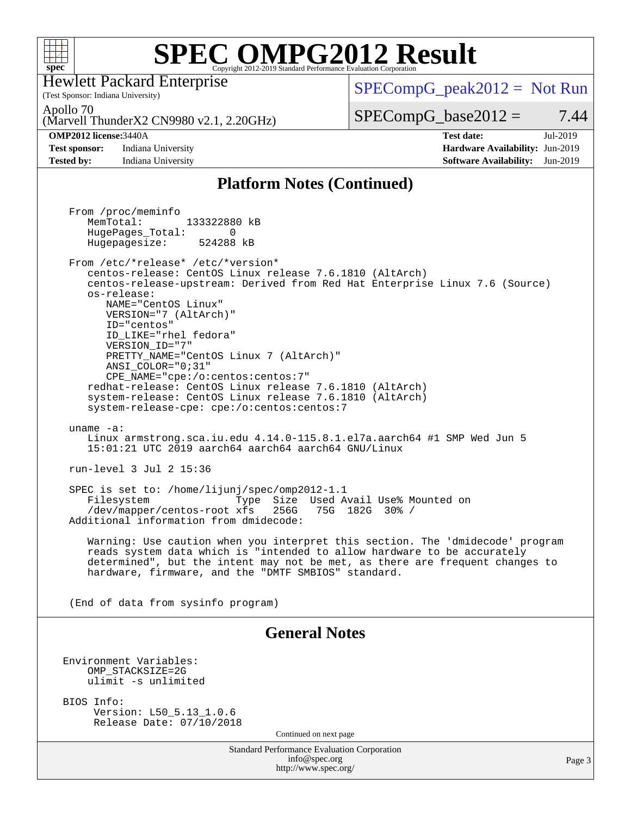

(Test Sponsor: Indiana University) Hewlett Packard Enterprise

 $SPECompG_peak2012 = Not Run$  $SPECompG_peak2012 = Not Run$ 

Apollo 70

(Marvell ThunderX2 CN9980 v2.1, 2.20GHz)

**[Test sponsor:](http://www.spec.org/auto/omp2012/Docs/result-fields.html#Testsponsor)** Indiana University **[Hardware Availability:](http://www.spec.org/auto/omp2012/Docs/result-fields.html#HardwareAvailability)** Jun-2019

 $SPECompG_base2012 = 7.44$  $SPECompG_base2012 = 7.44$ **[OMP2012 license:](http://www.spec.org/auto/omp2012/Docs/result-fields.html#OMP2012license)**3440A **[Test date:](http://www.spec.org/auto/omp2012/Docs/result-fields.html#Testdate)** Jul-2019

**[Tested by:](http://www.spec.org/auto/omp2012/Docs/result-fields.html#Testedby)** Indiana University **[Software Availability:](http://www.spec.org/auto/omp2012/Docs/result-fields.html#SoftwareAvailability)** Jun-2019

### **[Platform Notes \(Continued\)](http://www.spec.org/auto/omp2012/Docs/result-fields.html#PlatformNotes)**

Standard Performance Evaluation Corporation [info@spec.org](mailto:info@spec.org) <http://www.spec.org/> Page 3 From /proc/meminfo MemTotal: 133322880 kB HugePages\_Total: 0<br>Hugepagesize: 524288 kB Hugepagesize: From /etc/\*release\* /etc/\*version\* centos-release: CentOS Linux release 7.6.1810 (AltArch) centos-release-upstream: Derived from Red Hat Enterprise Linux 7.6 (Source) os-release: NAME="CentOS Linux" VERSION="7 (AltArch)" ID="centos" ID\_LIKE="rhel fedora" VERSION\_ID="7" PRETTY\_NAME="CentOS\_Linux 7 (AltArch)" ANSI\_COLOR="0;31" CPE\_NAME="cpe:/o:centos:centos:7" redhat-release: CentOS Linux release 7.6.1810 (AltArch) system-release: CentOS Linux release 7.6.1810 (AltArch) system-release-cpe: cpe:/o:centos:centos:7 uname -a: Linux armstrong.sca.iu.edu 4.14.0-115.8.1.el7a.aarch64 #1 SMP Wed Jun 5 15:01:21 UTC 2019 aarch64 aarch64 aarch64 GNU/Linux run-level 3 Jul 2 15:36 SPEC is set to: /home/lijunj/spec/omp2012-1.1 Filesystem Type Size Used Avail Use% Mounted on /dev/mapper/centos-root xfs 256G 75G 182G 30% / Additional information from dmidecode: Warning: Use caution when you interpret this section. The 'dmidecode' program reads system data which is "intended to allow hardware to be accurately determined", but the intent may not be met, as there are frequent changes to hardware, firmware, and the "DMTF SMBIOS" standard. (End of data from sysinfo program) **[General Notes](http://www.spec.org/auto/omp2012/Docs/result-fields.html#GeneralNotes)** Environment Variables: OMP\_STACKSIZE=2G ulimit -s unlimited BIOS Info: Version: L50\_5.13\_1.0.6 Release Date: 07/10/2018 Continued on next page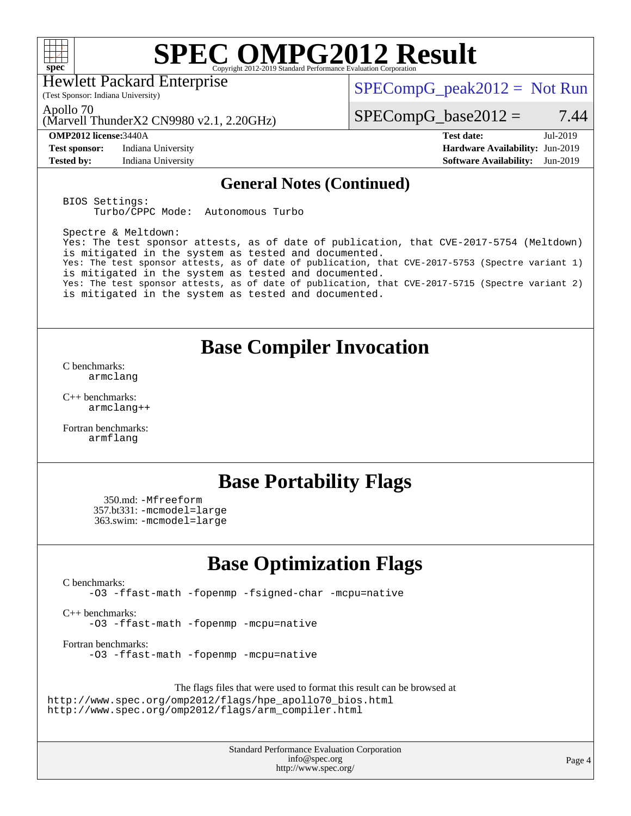

Hewlett Packard Enterprise

 $SPECompG_peak2012 = Not Run$  $SPECompG_peak2012 = Not Run$ 

Apollo 70

(Marvell ThunderX2 CN9980 v2.1, 2.20GHz)

(Test Sponsor: Indiana University)

**[Test sponsor:](http://www.spec.org/auto/omp2012/Docs/result-fields.html#Testsponsor)** Indiana University **[Hardware Availability:](http://www.spec.org/auto/omp2012/Docs/result-fields.html#HardwareAvailability)** Jun-2019

 $SPECompG_base2012 = 7.44$  $SPECompG_base2012 = 7.44$ 

**[OMP2012 license:](http://www.spec.org/auto/omp2012/Docs/result-fields.html#OMP2012license)**3440A **[Test date:](http://www.spec.org/auto/omp2012/Docs/result-fields.html#Testdate)** Jul-2019 **[Tested by:](http://www.spec.org/auto/omp2012/Docs/result-fields.html#Testedby)** Indiana University **[Software Availability:](http://www.spec.org/auto/omp2012/Docs/result-fields.html#SoftwareAvailability)** Jun-2019

### **[General Notes \(Continued\)](http://www.spec.org/auto/omp2012/Docs/result-fields.html#GeneralNotes)**

BIOS Settings: Turbo/CPPC Mode: Autonomous Turbo

Spectre & Meltdown: Yes: The test sponsor attests, as of date of publication, that CVE-2017-5754 (Meltdown) is mitigated in the system as tested and documented. Yes: The test sponsor attests, as of date of publication, that CVE-2017-5753 (Spectre variant 1) is mitigated in the system as tested and documented. Yes: The test sponsor attests, as of date of publication, that CVE-2017-5715 (Spectre variant 2) is mitigated in the system as tested and documented.

### **[Base Compiler Invocation](http://www.spec.org/auto/omp2012/Docs/result-fields.html#BaseCompilerInvocation)**

[C benchmarks](http://www.spec.org/auto/omp2012/Docs/result-fields.html#Cbenchmarks): [armclang](http://www.spec.org/omp2012/results/res2019q3/omp2012-20190812-00185.flags.html#user_CCbase_clang_3481ee5e28a05ca18f70b7399696a852)

[C++ benchmarks:](http://www.spec.org/auto/omp2012/Docs/result-fields.html#CXXbenchmarks) [armclang++](http://www.spec.org/omp2012/results/res2019q3/omp2012-20190812-00185.flags.html#user_CXXbase_clangplusplus_c3137dbe1be0ddf9e210a79cee0f6e94)

[Fortran benchmarks](http://www.spec.org/auto/omp2012/Docs/result-fields.html#Fortranbenchmarks): [armflang](http://www.spec.org/omp2012/results/res2019q3/omp2012-20190812-00185.flags.html#user_FCbase_flang_ea1fcaad5753608c4e545380f84a6f27)

## **[Base Portability Flags](http://www.spec.org/auto/omp2012/Docs/result-fields.html#BasePortabilityFlags)**

 350.md: [-Mfreeform](http://www.spec.org/omp2012/results/res2019q3/omp2012-20190812-00185.flags.html#user_baseFPORTABILITY350_md_M-freeform_67e23de17d51d9df7d6a47ecf8fd3ce9) 357.bt331: [-mcmodel=large](http://www.spec.org/omp2012/results/res2019q3/omp2012-20190812-00185.flags.html#user_baseFPORTABILITY357_bt331_f-mcmodel_bcd93d8f19f54a7ceb7a1f9518737645) 363.swim: [-mcmodel=large](http://www.spec.org/omp2012/results/res2019q3/omp2012-20190812-00185.flags.html#user_baseFPORTABILITY363_swim_f-mcmodel_bcd93d8f19f54a7ceb7a1f9518737645)

## **[Base Optimization Flags](http://www.spec.org/auto/omp2012/Docs/result-fields.html#BaseOptimizationFlags)**

[C benchmarks](http://www.spec.org/auto/omp2012/Docs/result-fields.html#Cbenchmarks):

[-O3](http://www.spec.org/omp2012/results/res2019q3/omp2012-20190812-00185.flags.html#user_CCbase_f-O3) [-ffast-math](http://www.spec.org/omp2012/results/res2019q3/omp2012-20190812-00185.flags.html#user_CCbase_f-ffast-math) [-fopenmp](http://www.spec.org/omp2012/results/res2019q3/omp2012-20190812-00185.flags.html#user_CCbase_f-fopenmp) [-fsigned-char](http://www.spec.org/omp2012/results/res2019q3/omp2012-20190812-00185.flags.html#user_CCbase_f-signed-char_ea072296ce3abda7ab095741e7c36064) [-mcpu=native](http://www.spec.org/omp2012/results/res2019q3/omp2012-20190812-00185.flags.html#user_CCbase_f-mcpu_8022b0ebebd1cfddb76fd2cd38caa1e3)

[C++ benchmarks:](http://www.spec.org/auto/omp2012/Docs/result-fields.html#CXXbenchmarks) [-O3](http://www.spec.org/omp2012/results/res2019q3/omp2012-20190812-00185.flags.html#user_CXXbase_f-O3) [-ffast-math](http://www.spec.org/omp2012/results/res2019q3/omp2012-20190812-00185.flags.html#user_CXXbase_f-ffast-math) [-fopenmp](http://www.spec.org/omp2012/results/res2019q3/omp2012-20190812-00185.flags.html#user_CXXbase_f-fopenmp) [-mcpu=native](http://www.spec.org/omp2012/results/res2019q3/omp2012-20190812-00185.flags.html#user_CXXbase_f-mcpu_8022b0ebebd1cfddb76fd2cd38caa1e3)

[Fortran benchmarks](http://www.spec.org/auto/omp2012/Docs/result-fields.html#Fortranbenchmarks): [-O3](http://www.spec.org/omp2012/results/res2019q3/omp2012-20190812-00185.flags.html#user_FCbase_f-O3) [-ffast-math](http://www.spec.org/omp2012/results/res2019q3/omp2012-20190812-00185.flags.html#user_FCbase_f-ffast-math) [-fopenmp](http://www.spec.org/omp2012/results/res2019q3/omp2012-20190812-00185.flags.html#user_FCbase_f-fopenmp) [-mcpu=native](http://www.spec.org/omp2012/results/res2019q3/omp2012-20190812-00185.flags.html#user_FCbase_f-mcpu_8022b0ebebd1cfddb76fd2cd38caa1e3)

The flags files that were used to format this result can be browsed at [http://www.spec.org/omp2012/flags/hpe\\_apollo70\\_bios.html](http://www.spec.org/omp2012/flags/hpe_apollo70_bios.html) [http://www.spec.org/omp2012/flags/arm\\_compiler.html](http://www.spec.org/omp2012/flags/arm_compiler.html)

> Standard Performance Evaluation Corporation [info@spec.org](mailto:info@spec.org) <http://www.spec.org/>